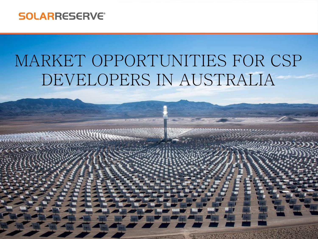#### **SOLARRESERVE®**

# MARKET OPPORTUNITIES FOR CSP DEVELOPERS IN AUSTRALIA

Copyright  $\sim$  2015. Solar Reserves, LLC. All rights reserved. Solar Reserves, LLC.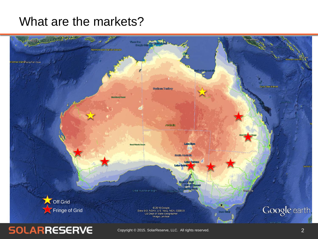# What are the markets?



### **SOLARRESERVE**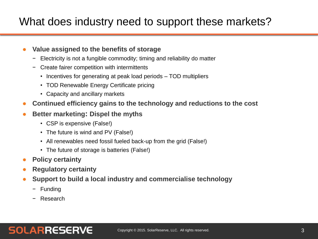## What does industry need to support these markets?

#### ● **Value assigned to the benefits of storage**

- − Electricity is not a fungible commodity; timing and reliability do matter
- − Create fairer competition with intermittents
	- Incentives for generating at peak load periods TOD multipliers
	- TOD Renewable Energy Certificate pricing
	- Capacity and ancillary markets
- **Continued efficiency gains to the technology and reductions to the cost**
- **Better marketing: Dispel the myths**
	- CSP is expensive (False!)
	- The future is wind and PV (False!)
	- All renewables need fossil fueled back-up from the grid (False!)
	- The future of storage is batteries (False!)
- **Policy certainty**
- **Regulatory certainty**
- **Support to build a local industry and commercialise technology** 
	- − Funding
	- − Research

### **SOLARRESERVE**